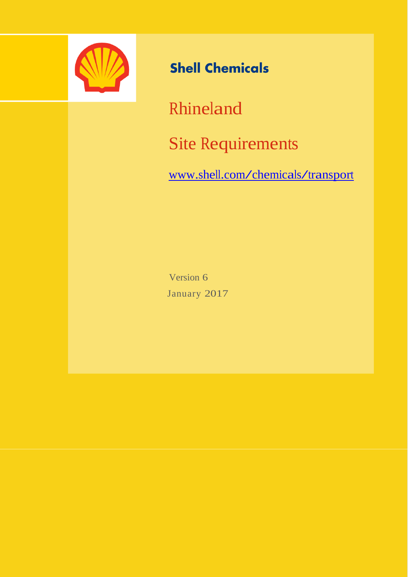

# **Shell Chemicals**

Rhineland

Site Requirements

[www.shell.com/chemicals/transport](http://www.shell.com/chemicals/transport)

Version 6 January 2017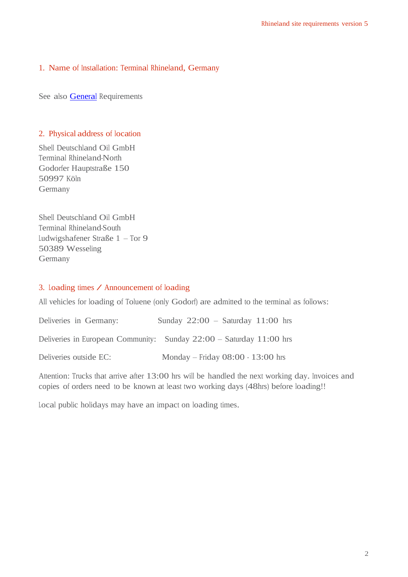## 1. Name of Installation: Terminal Rhineland, Germany

See also **[General](http://www.shell.com/content/dam/shell-new/local/business/chemicals/downloads/pdf/products-services/suppliers-guide/general-site-requirements.pdf)** Requirements

#### 2. Physical address of location

Shell Deutschland Oil GmbH Terminal Rhineland-North Godorfer Hauptstraße 150 50997 Köln Germany

Shell Deutschland Oil GmbH Terminal Rhineland-South Ludwigshafener Straße 1 – Tor 9 50389 Wesseling Germany

#### 3. Loading times / Announcement of loading

All vehicles for loading of Toluene (only Godorf) are admitted to the terminal as follows:

Deliveries in Germany: Sunday 22:00 – Saturday 11:00 hrs Deliveries in European Community: Sunday 22:00 – Saturday 11:00 hrs Deliveries outside EC: Monday – Friday 08:00 - 13:00 hrs

Attention: Trucks that arrive after 13:00 hrs will be handled the next working day. Invoices and copies of orders need to be known at least two working days (48hrs) before loading!!

Local public holidays may have an impact on loading times.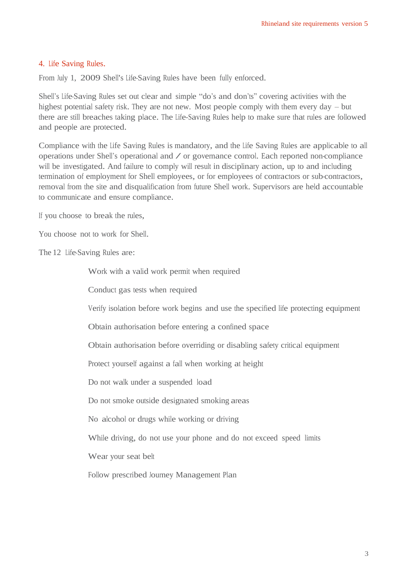#### 4. Life Saving Rules.

From July 1, 2009 Shell's Life-Saving Rules have been fully enforced.

Shell's Life-Saving Rules set out clear and simple "do's and don'ts" covering activities with the highest potential safety risk. They are not new. Most people comply with them every day – but there are still breaches taking place. The Life-Saving Rules help to make sure that rules are followed and people are protected.

Compliance with the Life Saving Rules is mandatory, and the Life Saving Rules are applicable to all operations under Shell's operational and / or governance control. Each reported non-compliance will be investigated. And failure to comply will result in disciplinary action, up to and including termination of employment for Shell employees, or for employees of contractors or sub-contractors, removal from the site and disqualification from future Shell work. Supervisors are held accountable to communicate and ensure compliance.

If you choose to break the rules,

You choose not to work for Shell.

The 12 Life-Saving Rules are:

 Work with a valid work permit when required Conduct gas tests when required Verify isolation before work begins and use the specified life protecting equipment Obtain authorisation before entering a confined space Obtain authorisation before overriding or disabling safety critical equipment Protect yourself against a fall when working at height Do not walk under a suspended load Do not smoke outside designated smoking areas No alcohol or drugs while working or driving While driving, do not use your phone and do not exceed speed limits Wear your seat belt Follow prescribed Journey Management Plan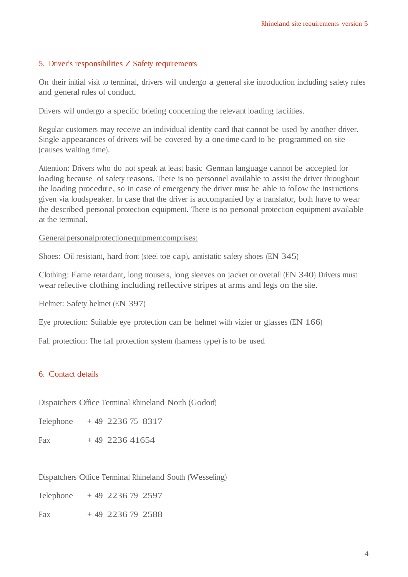#### 5. Driver's responsibilities / Safety requirements

On their initial visit to terminal, drivers will undergo a general site introduction including safety rules and general rules of conduct.

Drivers will undergo a specific briefing concerning the relevant loading facilities.

Regular customers may receive an individual identity card that cannot be used by another driver. Single appearances of drivers will be covered by a one-time-card to be programmed on site (causes waiting time).

Attention: Drivers who do not speak at least basic German language cannot be accepted for loading because of safety reasons. There is no personnel available to assist the driver throughout the loading procedure, so in case of emergency the driver must be able to follow the instructions given via loudspeaker. In case that the driver is accompanied by a translator, both have to wear the described personal protection equipment. There is no personal protection equipment available at the terminal.

Generalpersonalprotectionequipmentcomprises:

Shoes: Oil resistant, hard front (steel toe cap), antistatic safety shoes (EN 345)

Clothing: Flame retardant, long trousers, long sleeves on jacket or overall (EN 340) Drivers must wear reflective clothing including reflective stripes at arms and legs on the site.

Helmet: Safety helmet (EN 397)

Eye protection: Suitable eye protection can be helmet with vizier or glasses (EN 166)

Fall protection: The fall protection system (harness type) is to be used

### 6. Contact details

Dispatchers Office Terminal Rhineland North (Godorf)

Telephone + 49 2236 75 8317

Fax  $+49$  2236 41654

Dispatchers Office Terminal Rhineland South (Wesseling)

Telephone  $+49$  2236 79 2597

Fax  $+49$  2236 79 2588